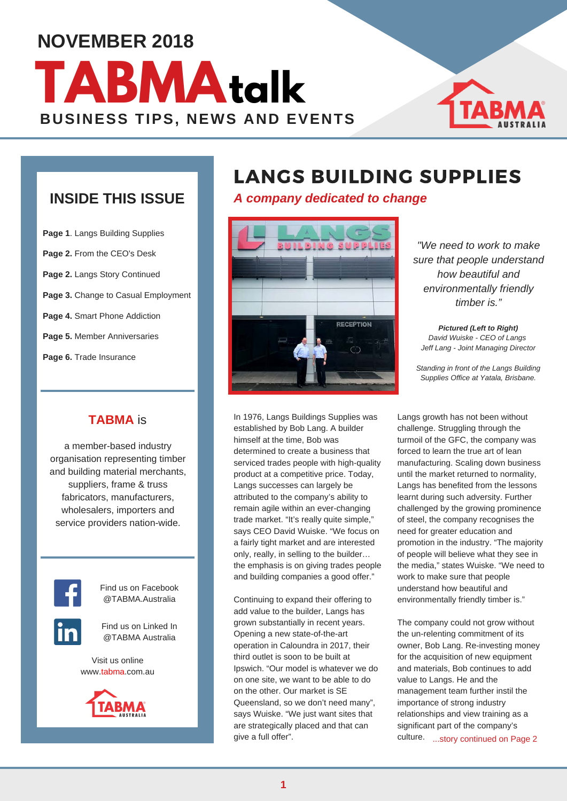## **NOVEMBER 2018**

# **BUSINESS TIPS, NEWS AND EVENTS TABMAtalk**



### **INSIDE THIS ISSUE**

**Page 1**. Langs Building Supplies **Page 2.** From the CEO's Desk **Page 2.** Langs Story Continued **Page 3.** Change to Casual Employment **Page 4.** Smart Phone Addiction **Page 5.** Member Anniversaries **Page 6.** Trade Insurance

### **TABMA** is

a member-based industry organisation representing timber and building material merchants, suppliers, frame & truss fabricators, manufacturers, wholesalers, importers and service providers nation-wide.



Find us on Facebook @TABMA.Australia



Find us on Linked In @TABMA Australia

Visit us online www.tabma.com.au



## LANGS BUILDING SUPPLIES

*A company dedicated to change*



In 1976, Langs Buildings Supplies was established by Bob Lang. A builder himself at the time, Bob was determined to create a business that serviced trades people with high-quality product at a competitive price. Today, Langs successes can largely be attributed to the company's ability to remain agile within an ever-changing trade market. "It's really quite simple," says CEO David Wuiske. "We focus on a fairly tight market and are interested only, really, in selling to the builder… the emphasis is on giving trades people and building companies a good offer."

Continuing to expand their offering to add value to the builder, Langs has grown substantially in recent years. Opening a new state-of-the-art operation in Caloundra in 2017, their third outlet is soon to be built at Ipswich. "Our model is whatever we do on one site, we want to be able to do on the other. Our market is SE Queensland, so we don't need many", says Wuiske. "We just want sites that are strategically placed and that can give a full offer".

*"We need to work to make sure that people understand how beautiful and environmentally friendly timber is."*

*Pictured (Left to Right) David Wuiske - CEO of Langs Jeff Lang - Joint Managing Director* 

*Standing in front of the Langs Building Supplies Office at Yatala, Brisbane.*

Langs growth has not been without challenge. Struggling through the turmoil of the GFC, the company was forced to learn the true art of lean manufacturing. Scaling down business until the market returned to normality, Langs has benefited from the lessons learnt during such adversity. Further challenged by the growing prominence of steel, the company recognises the need for greater education and promotion in the industry. "The majority of people will believe what they see in the media," states Wuiske. "We need to work to make sure that people understand how beautiful and environmentally friendly timber is."

The company could not grow without the un-relenting commitment of its owner, Bob Lang. Re-investing money for the acquisition of new equipment and materials, Bob continues to add value to Langs. He and the management team further instil the importance of strong industry relationships and view training as a significant part of the company's culture. ...story continued on Page 2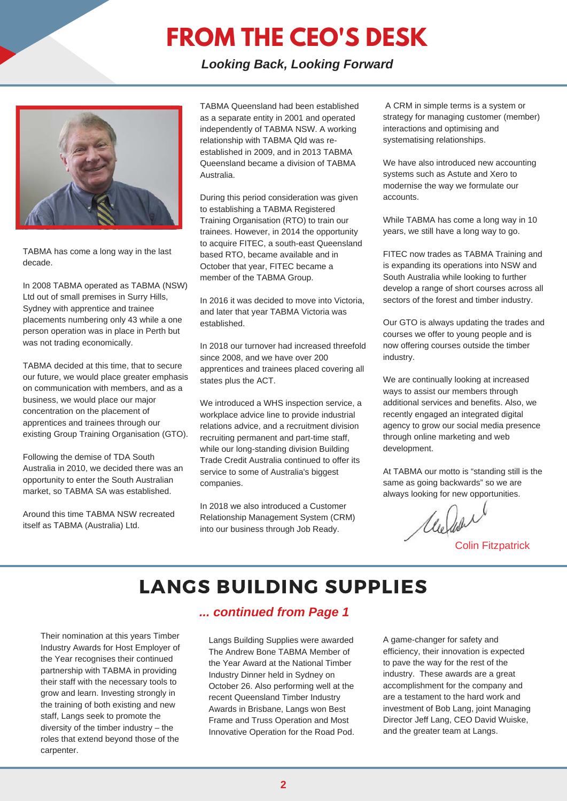## **FROM THE CEO'S DESK**

*Looking Back, Looking Forward*



TABMA has come a long way in the last decade.

In 2008 TABMA operated as TABMA (NSW) Ltd out of small premises in Surry Hills, Sydney with apprentice and trainee placements numbering only 43 while a one person operation was in place in Perth but was not trading economically.

TABMA decided at this time, that to secure our future, we would place greater emphasis on communication with members, and as a business, we would place our major concentration on the placement of apprentices and trainees through our existing Group Training Organisation (GTO).

Following the demise of TDA South Australia in 2010, we decided there was an opportunity to enter the South Australian market, so TABMA SA was established.

Around this time TABMA NSW recreated itself as TABMA (Australia) Ltd.

TABMA Queensland had been established as a separate entity in 2001 and operated independently of TABMA NSW. A working relationship with TABMA Qld was reestablished in 2009, and in 2013 TABMA Queensland became a division of TABMA Australia.

During this period consideration was given to establishing a TABMA Registered Training Organisation (RTO) to train our trainees. However, in 2014 the opportunity to acquire FITEC, a south-east Queensland based RTO, became available and in October that year, FITEC became a member of the TABMA Group.

In 2016 it was decided to move into Victoria, and later that year TABMA Victoria was established.

In 2018 our turnover had increased threefold since 2008, and we have over 200 apprentices and trainees placed covering all states plus the ACT.

We introduced a WHS inspection service, a workplace advice line to provide industrial relations advice, and a recruitment division recruiting permanent and part-time staff, while our long-standing division Building Trade Credit Australia continued to offer its service to some of Australia's biggest companies.

In 2018 we also introduced a Customer Relationship Management System (CRM) into our business through Job Ready.

 A CRM in simple terms is a system or strategy for managing customer (member) interactions and optimising and systematising relationships.

We have also introduced new accounting systems such as Astute and Xero to modernise the way we formulate our accounts.

While TABMA has come a long way in 10 years, we still have a long way to go.

FITEC now trades as TABMA Training and is expanding its operations into NSW and South Australia while looking to further develop a range of short courses across all sectors of the forest and timber industry.

Our GTO is always updating the trades and courses we offer to young people and is now offering courses outside the timber industry.

We are continually looking at increased ways to assist our members through additional services and benefits. Also, we recently engaged an integrated digital agency to grow our social media presence through online marketing and web development.

At TABMA our motto is "standing still is the same as going backwards" so we are always looking for new opportunities.

Melion

Colin Fitzpatrick

### LANGS BUILDING SUPPLIES

Their nomination at this years Timber Industry Awards for Host Employer of the Year recognises their continued partnership with TABMA in providing their staff with the necessary tools to grow and learn. Investing strongly in the training of both existing and new staff, Langs seek to promote the diversity of the timber industry – the roles that extend beyond those of the carpenter.

### *... continued from Page 1*

Langs Building Supplies were awarded The Andrew Bone TABMA Member of the Year Award at the National Timber Industry Dinner held in Sydney on October 26. Also performing well at the recent Queensland Timber Industry Awards in Brisbane, Langs won Best Frame and Truss Operation and Most Innovative Operation for the Road Pod.

A game-changer for safety and efficiency, their innovation is expected to pave the way for the rest of the industry. These awards are a great accomplishment for the company and are a testament to the hard work and investment of Bob Lang, joint Managing Director Jeff Lang, CEO David Wuiske, and the greater team at Langs.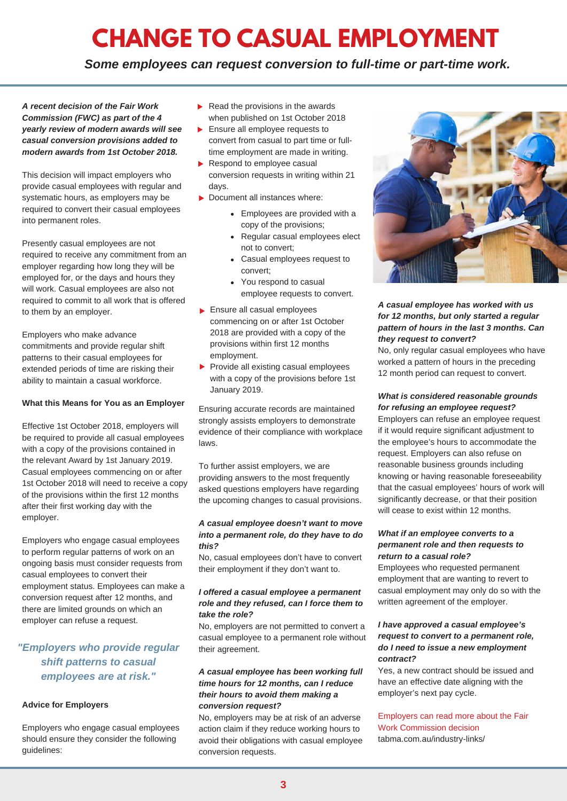# **CHANGE TO CASUAL EMPLOYMENT**

*Some employees can request conversion to full-time or part-time work.*

*A recent decision of the Fair Work Commission (FWC) as part of the 4 yearly review of modern awards will see casual conversion provisions added to modern awards from 1st October 2018.* 

This decision will impact employers who provide casual employees with regular and systematic hours, as employers may be required to convert their casual employees into permanent roles.

Presently casual employees are not required to receive any commitment from an employer regarding how long they will be employed for, or the days and hours they will work. Casual employees are also not required to commit to all work that is offered to them by an employer.

Employers who make advance commitments and provide regular shift patterns to their casual employees for extended periods of time are risking their ability to maintain a casual workforce.

#### **What this Means for You as an Employer**

Effective 1st October 2018, employers will be required to provide all casual employees with a copy of the provisions contained in the relevant Award by 1st January 2019. Casual employees commencing on or after 1st October 2018 will need to receive a copy of the provisions within the first 12 months after their first working day with the employer.

Employers who engage casual employees to perform regular patterns of work on an ongoing basis must consider requests from casual employees to convert their employment status. Employees can make a conversion request after 12 months, and there are limited grounds on which an employer can refuse a request.

### *"Employers who provide regular shift patterns to casual employees are at risk."*

#### **Advice for Employers**

Employers who engage casual employees should ensure they consider the following guidelines:

- $\blacktriangleright$  Read the provisions in the awards when published on 1st October 2018
- Ensure all employee requests to convert from casual to part time or fulltime employment are made in writing.
- Respond to employee casual conversion requests in writing within 21 days.
- ▶ Document all instances where:
	- Employees are provided with a copy of the provisions;
	- Regular casual employees elect not to convert;
	- Casual employees request to convert;
	- You respond to casual employee requests to convert.
- Ensure all casual employees commencing on or after 1st October 2018 are provided with a copy of the provisions within first 12 months employment.
- Provide all existing casual employees with a copy of the provisions before 1st January 2019.

Ensuring accurate records are maintained strongly assists employers to demonstrate evidence of their compliance with workplace laws.

To further assist employers, we are providing answers to the most frequently asked questions employers have regarding the upcoming changes to casual provisions.

#### *A casual employee doesn't want to move into a permanent role, do they have to do this?*

No, casual employees don't have to convert their employment if they don't want to.

#### *I offered a casual employee a permanent role and they refused, can I force them to take the role?*

No, employers are not permitted to convert a casual employee to a permanent role without their agreement.

#### *A casual employee has been working full time hours for 12 months, can I reduce their hours to avoid them making a conversion request?*

No, employers may be at risk of an adverse action claim if they reduce working hours to avoid their obligations with casual employee conversion requests.



#### *A casual employee has worked with us for 12 months, but only started a regular pattern of hours in the last 3 months. Can they request to convert?*

No, only regular casual employees who have worked a pattern of hours in the preceding 12 month period can request to convert.

#### *What is considered reasonable grounds for refusing an employee request?*

Employers can refuse an employee request if it would require significant adjustment to the employee's hours to accommodate the request. Employers can also refuse on reasonable business grounds including knowing or having reasonable foreseeability that the casual employees' hours of work will significantly decrease, or that their position will cease to exist within 12 months.

#### *What if an employee converts to a permanent role and then requests to return to a casual role?*

Employees who requested permanent employment that are wanting to revert to casual employment may only do so with the written agreement of the employer.

#### *I have approved a casual employee's request to convert to a permanent role, do I need to issue a new employment contract?*

Yes, a new contract should be issued and have an effective date aligning with the employer's next pay cycle.

#### Employers can read more about the Fair Work Commission decision tabma.com.au/industry-links/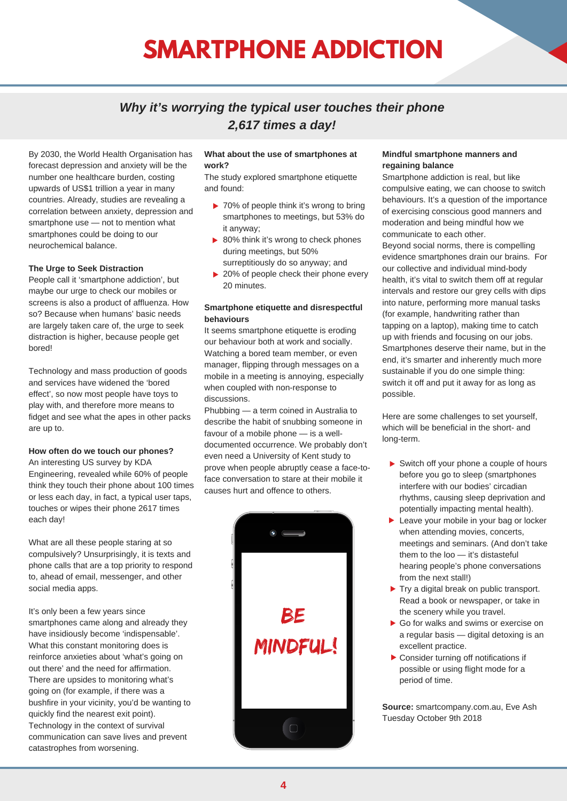# **SMARTPHONE ADDICTION**

### *Why it's worrying the typical user touches their phone 2,617 times a day!*

By 2030, the World Health Organisation has forecast depression and anxiety will be the number one healthcare burden, costing upwards of US\$1 trillion a year in many countries. Already, studies are revealing a correlation between anxiety, depression and smartphone use — not to mention what smartphones could be doing to our neurochemical balance.

#### **The Urge to Seek Distraction**

People call it 'smartphone addiction', but maybe our urge to check our mobiles or screens is also a product of affluenza. How so? Because when humans' basic needs are largely taken care of, the urge to seek distraction is higher, because people get bored!

Technology and mass production of goods and services have widened the 'bored effect', so now most people have toys to play with, and therefore more means to fidget and see what the apes in other packs are up to.

#### **How often do we touch our phones?**

An interesting US survey by KDA Engineering, revealed while 60% of people think they touch their phone about 100 times or less each day, in fact, a typical user taps, touches or wipes their phone 2617 times each day!

What are all these people staring at so compulsively? Unsurprisingly, it is texts and phone calls that are a top priority to respond to, ahead of email, messenger, and other social media apps.

It's only been a few years since smartphones came along and already they have insidiously become 'indispensable'. What this constant monitoring does is reinforce anxieties about 'what's going on out there' and the need for affirmation. There are upsides to monitoring what's going on (for example, if there was a bushfire in your vicinity, you'd be wanting to quickly find the nearest exit point). Technology in the context of survival communication can save lives and prevent catastrophes from worsening.

#### **What about the use of smartphones at work?**

The study explored smartphone etiquette and found:

- ▶ 70% of people think it's wrong to bring smartphones to meetings, but 53% do it anyway;
- ▶ 80% think it's wrong to check phones during meetings, but 50% surreptitiously do so anyway; and
- ▶ 20% of people check their phone every 20 minutes.

#### **Smartphone etiquette and disrespectful behaviours**

It seems smartphone etiquette is eroding our behaviour both at work and socially. Watching a bored team member, or even manager, flipping through messages on a mobile in a meeting is annoying, especially when coupled with non-response to discussions.

Phubbing — a term coined in Australia to describe the habit of snubbing someone in favour of a mobile phone — is a welldocumented occurrence. We probably don't even need a University of Kent study to prove when people abruptly cease a face-toface conversation to stare at their mobile it causes hurt and offence to others.



#### **Mindful smartphone manners and regaining balance**

Smartphone addiction is real, but like compulsive eating, we can choose to switch behaviours. It's a question of the importance of exercising conscious good manners and moderation and being mindful how we communicate to each other. Beyond social norms, there is compelling evidence smartphones drain our brains. For our collective and individual mind-body health, it's vital to switch them off at regular intervals and restore our grey cells with dips into nature, performing more manual tasks (for example, handwriting rather than tapping on a laptop), making time to catch up with friends and focusing on our jobs. Smartphones deserve their name, but in the end, it's smarter and inherently much more sustainable if you do one simple thing: switch it off and put it away for as long as possible.

Here are some challenges to set yourself, which will be beneficial in the short- and long-term.

- ▶ Switch off your phone a couple of hours before you go to sleep (smartphones interfere with our bodies' circadian rhythms, causing sleep deprivation and potentially impacting mental health).
- **Leave your mobile in your bag or locker** when attending movies, concerts, meetings and seminars. (And don't take them to the loo — it's distasteful hearing people's phone conversations from the next stall!)
- Try a digital break on public transport. Read a book or newspaper, or take in the scenery while you travel.
- Go for walks and swims or exercise on a regular basis — digital detoxing is an excellent practice.
- ▶ Consider turning off notifications if possible or using flight mode for a period of time.

**Source:** smartcompany.com.au, Eve Ash Tuesday October 9th 2018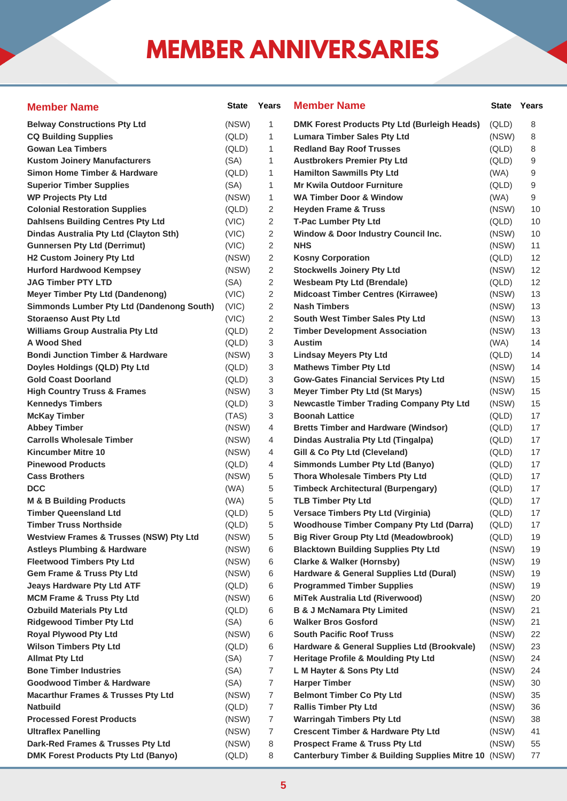# **MEMBER ANNIVERSARIES**

| <b>Member Name</b>                                 | <b>State</b> | Years          | <b>Member Name</b>                                   | <b>State</b> | Years |
|----------------------------------------------------|--------------|----------------|------------------------------------------------------|--------------|-------|
| <b>Belway Constructions Pty Ltd</b>                | (NSW)        | 1              | DMK Forest Products Pty Ltd (Burleigh Heads)         | (QLD)        | 8     |
| <b>CQ Building Supplies</b>                        | (QLD)        | 1              | <b>Lumara Timber Sales Pty Ltd</b>                   | (NSW)        | 8     |
| <b>Gowan Lea Timbers</b>                           | (QLD)        | 1              | <b>Redland Bay Roof Trusses</b>                      | (QLD)        | 8     |
| <b>Kustom Joinery Manufacturers</b>                | (SA)         | 1              | <b>Austbrokers Premier Pty Ltd</b>                   | (QLD)        | 9     |
| <b>Simon Home Timber &amp; Hardware</b>            | (QLD)        | 1              | <b>Hamilton Sawmills Pty Ltd</b>                     | (WA)         | 9     |
| <b>Superior Timber Supplies</b>                    | (SA)         | 1              | <b>Mr Kwila Outdoor Furniture</b>                    | (QLD)        | 9     |
| <b>WP Projects Pty Ltd</b>                         | (NSW)        | 1              | <b>WA Timber Door &amp; Window</b>                   | (WA)         | 9     |
| <b>Colonial Restoration Supplies</b>               | (QLD)        | 2              | <b>Heyden Frame &amp; Truss</b>                      | (NSW)        | 10    |
| <b>Dahlsens Building Centres Pty Ltd</b>           | (VIC)        | 2              | <b>T-Pac Lumber Pty Ltd</b>                          | (QLD)        | 10    |
| Dindas Australia Pty Ltd (Clayton Sth)             | (VIC)        | 2              | Window & Door Industry Council Inc.                  | (NSW)        | 10    |
| <b>Gunnersen Pty Ltd (Derrimut)</b>                | (VIC)        | 2              | <b>NHS</b>                                           | (NSW)        | 11    |
| H2 Custom Joinery Pty Ltd                          | (NSW)        | 2              | <b>Kosny Corporation</b>                             | (QLD)        | 12    |
| <b>Hurford Hardwood Kempsey</b>                    | (NSW)        | 2              | <b>Stockwells Joinery Pty Ltd</b>                    | (NSW)        | 12    |
| <b>JAG Timber PTY LTD</b>                          | (SA)         | 2              | <b>Wesbeam Pty Ltd (Brendale)</b>                    | (QLD)        | 12    |
| <b>Meyer Timber Pty Ltd (Dandenong)</b>            | (VIC)        | 2              | <b>Midcoast Timber Centres (Kirrawee)</b>            | (NSW)        | 13    |
| Simmonds Lumber Pty Ltd (Dandenong South)          | (VIC)        | 2              | <b>Nash Timbers</b>                                  | (NSW)        | 13    |
| <b>Storaenso Aust Pty Ltd</b>                      | (VIC)        | 2              | South West Timber Sales Pty Ltd                      | (NSW)        | 13    |
| <b>Williams Group Australia Pty Ltd</b>            | (QLD)        | 2              | <b>Timber Development Association</b>                | (NSW)        | 13    |
| <b>A Wood Shed</b>                                 | (QLD)        | 3              | <b>Austim</b>                                        | (WA)         | 14    |
| <b>Bondi Junction Timber &amp; Hardware</b>        | (NSW)        | 3              | <b>Lindsay Meyers Pty Ltd</b>                        | (QLD)        | 14    |
| Doyles Holdings (QLD) Pty Ltd                      | (QLD)        | 3              | <b>Mathews Timber Pty Ltd</b>                        | (NSW)        | 14    |
| <b>Gold Coast Doorland</b>                         | (QLD)        | 3              | <b>Gow-Gates Financial Services Pty Ltd</b>          | (NSW)        | 15    |
| <b>High Country Truss &amp; Frames</b>             | (NSW)        | 3              | <b>Meyer Timber Pty Ltd (St Marys)</b>               | (NSW)        | 15    |
| <b>Kennedys Timbers</b>                            | (QLD)        | 3              | <b>Newcastle Timber Trading Company Pty Ltd</b>      | (NSW)        | 15    |
| <b>McKay Timber</b>                                | (TAS)        | 3              | <b>Boonah Lattice</b>                                | (QLD)        | 17    |
| <b>Abbey Timber</b>                                | (NSW)        | 4              | <b>Bretts Timber and Hardware (Windsor)</b>          | (QLD)        | 17    |
| <b>Carrolls Wholesale Timber</b>                   | (NSW)        | 4              | Dindas Australia Pty Ltd (Tingalpa)                  | (QLD)        | 17    |
| Kincumber Mitre 10                                 | (NSW)        | 4              | Gill & Co Pty Ltd (Cleveland)                        | (QLD)        | 17    |
| <b>Pinewood Products</b>                           | (QLD)        | 4              | <b>Simmonds Lumber Pty Ltd (Banyo)</b>               | (QLD)        | 17    |
| <b>Cass Brothers</b>                               | (NSW)        | 5              | Thora Wholesale Timbers Pty Ltd                      | (QLD)        | 17    |
| <b>DCC</b>                                         | (WA)         | 5              | <b>Timbeck Architectural (Burpengary)</b>            | (QLD)        | 17    |
| <b>M &amp; B Building Products</b>                 | (WA)         | 5              | <b>TLB Timber Pty Ltd</b>                            | (QLD)        | 17    |
| <b>Timber Queensland Ltd</b>                       | (QLD)        | 5              | Versace Timbers Pty Ltd (Virginia)                   | (QLD)        | 17    |
| <b>Timber Truss Northside</b>                      | (QLD)        | 5              | <b>Woodhouse Timber Company Pty Ltd (Darra)</b>      | (QLD)        | 17    |
| <b>Westview Frames &amp; Trusses (NSW) Pty Ltd</b> | (NSW)        | 5              | <b>Big River Group Pty Ltd (Meadowbrook)</b>         | (QLD)        | 19    |
| <b>Astleys Plumbing &amp; Hardware</b>             | (NSW)        | 6              | <b>Blacktown Building Supplies Pty Ltd</b>           | (NSW)        | 19    |
| <b>Fleetwood Timbers Pty Ltd</b>                   | (NSW)        | 6              | <b>Clarke &amp; Walker (Hornsby)</b>                 | (NSW)        | 19    |
| <b>Gem Frame &amp; Truss Pty Ltd</b>               | (NSW)        | 6              | Hardware & General Supplies Ltd (Dural)              | (NSW)        | 19    |
| <b>Jeays Hardware Pty Ltd ATF</b>                  | (QLD)        | 6              | <b>Programmed Timber Supplies</b>                    | (NSW)        | 19    |
| <b>MCM Frame &amp; Truss Pty Ltd</b>               | (NSW)        | 6              | MiTek Australia Ltd (Riverwood)                      | (NSW)        | 20    |
| <b>Ozbuild Materials Pty Ltd</b>                   | (QLD)        | 6              | <b>B &amp; J McNamara Pty Limited</b>                | (NSW)        | 21    |
| <b>Ridgewood Timber Pty Ltd</b>                    | (SA)         | 6              | <b>Walker Bros Gosford</b>                           | (NSW)        | 21    |
| Royal Plywood Pty Ltd                              | (NSW)        | 6              | <b>South Pacific Roof Truss</b>                      | (NSW)        | 22    |
| <b>Wilson Timbers Pty Ltd</b>                      | (QLD)        | 6              | Hardware & General Supplies Ltd (Brookvale)          | (NSW)        | 23    |
| <b>Allmat Pty Ltd</b>                              | (SA)         | 7              | Heritage Profile & Moulding Pty Ltd                  | (NSW)        | 24    |
| <b>Bone Timber Industries</b>                      | (SA)         | 7              | L M Hayter & Sons Pty Ltd                            | (NSW)        | 24    |
| <b>Goodwood Timber &amp; Hardware</b>              | (SA)         | 7              | <b>Harper Timber</b>                                 | (NSW)        | 30    |
| <b>Macarthur Frames &amp; Trusses Pty Ltd</b>      | (NSW)        | $\overline{7}$ | <b>Belmont Timber Co Pty Ltd</b>                     | (NSW)        | 35    |
| Natbuild                                           | (QLD)        | 7              | <b>Rallis Timber Pty Ltd</b>                         | (NSW)        | 36    |
| <b>Processed Forest Products</b>                   | (NSW)        | 7              | <b>Warringah Timbers Pty Ltd</b>                     | (NSW)        | 38    |
| <b>Ultraflex Panelling</b>                         | (NSW)        | 7              | <b>Crescent Timber &amp; Hardware Pty Ltd</b>        | (NSW)        | 41    |
| Dark-Red Frames & Trusses Pty Ltd                  | (NSW)        | 8              | <b>Prospect Frame &amp; Truss Pty Ltd</b>            | (NSW)        | 55    |
| DMK Forest Products Pty Ltd (Banyo)                | (QLD)        | 8              | Canterbury Timber & Building Supplies Mitre 10 (NSW) |              | 77    |